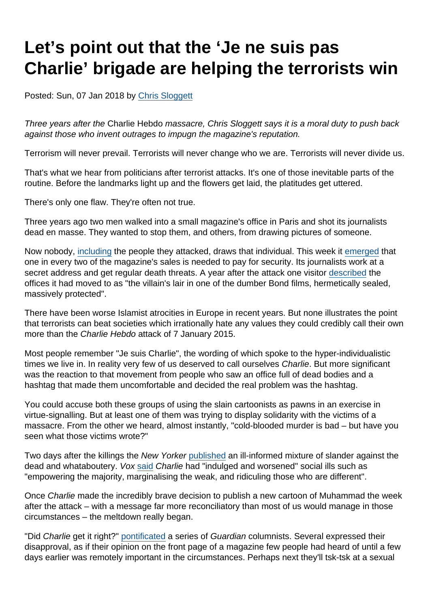# Let's point out that the 'Je ne suis pas Charlie' brigade are helping the terrorists win

Posted: Sun, 07 Jan 2018 by [Chris Sloggett](https://www.secularism.org.uk/opinion/authors/968)

Three years after the Charlie Hebdo massacre, Chris Sloggett says it is a moral duty to push back against those who invent outrages to impugn the magazine's reputation.

Terrorism will never prevail. Terrorists will never change who we are. Terrorists will never divide us.

That's what we hear from politicians after terrorist attacks. It's one of those inevitable parts of the routine. Before the landmarks light up and the flowers get laid, the platitudes get uttered.

There's only one flaw. They're often not true.

Three years ago two men walked into a small magazine's office in Paris and shot its journalists dead en masse. They wanted to stop them, and others, from drawing pictures of someone.

Now nobody, [including](http://www.independent.co.uk/news/world/europe/charlie-hebdo-we-wont-publish-pictures-of-mohamed-anymore-10399955.html) the people they attacked, draws that individual. This week it [emerged](https://www.thetimes.co.uk/edition/world/charlie-hebdo-has-been-forgotten-by-france-say-hard-up-satirists-0t59wc89r) that one in every two of the magazine's sales is needed to pay for security. Its journalists work at a secret address and get regular death threats. A year after the attack one visitor [described](https://www.theguardian.com/commentisfree/2016/jan/03/charlie-hebdo-scurrilous-reports-by-non-french-speakers) the offices it had moved to as "the villain's lair in one of the dumber Bond films, hermetically sealed, massively protected".

There have been worse Islamist atrocities in Europe in recent years. But none illustrates the point that terrorists can beat societies which irrationally hate any values they could credibly call their own more than the Charlie Hebdo attack of 7 January 2015.

Most people remember "Je suis Charlie", the wording of which spoke to the hyper-individualistic times we live in. In reality very few of us deserved to call ourselves Charlie. But more significant was the reaction to that movement from people who saw an office full of dead bodies and a hashtag that made them uncomfortable and decided the real problem was the hashtag.

You could accuse both these groups of using the slain cartoonists as pawns in an exercise in virtue-signalling. But at least one of them was trying to display solidarity with the victims of a massacre. From the other we heard, almost instantly, "cold-blooded murder is bad – but have you seen what those victims wrote?"

Two days after the killings the New Yorker [published](https://www.newyorker.com/culture/cultural-comment/unmournable-bodies) an ill-informed mixture of slander against the dead and whataboutery. Vox [said](https://www.vox.com/2015/1/12/7518349/charlie-hebdo-racist) Charlie had "indulged and worsened" social ills such as "empowering the majority, marginalising the weak, and ridiculing those who are different".

Once Charlie made the incredibly brave decision to publish a new cartoon of Muhammad the week after the attack – with a message far more reconciliatory than most of us would manage in those circumstances – the meltdown really began.

"Did Charlie get it right?" [pontificated](https://www.theguardian.com/commentisfree/2015/jan/13/charlie-hebdo-cover-right-image-prophet-muhammad-right) a series of Guardian columnists. Several expressed their disapproval, as if their opinion on the front page of a magazine few people had heard of until a few days earlier was remotely important in the circumstances. Perhaps next they'll tsk-tsk at a sexual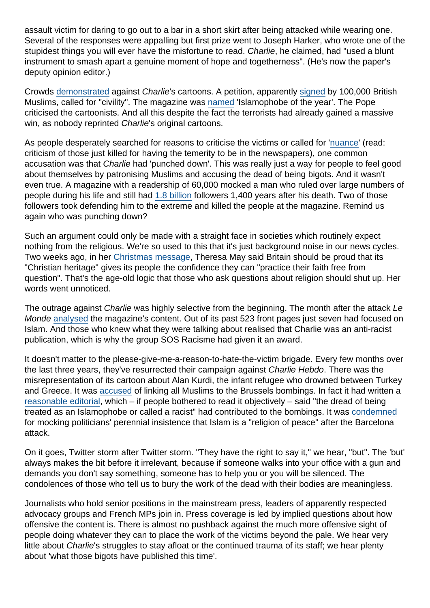assault victim for daring to go out to a bar in a short skirt after being attacked while wearing one. Several of the responses were appalling but first prize went to Joseph Harker, who wrote one of the stupidest things you will ever have the misfortune to read. Charlie, he claimed, had "used a blunt instrument to smash apart a genuine moment of hope and togetherness". (He's now the paper's deputy opinion editor.)

Crowds [demonstrated](http://www.dailymail.co.uk/news/article-2944946/Thousands-British-Muslims-protest-against-Charlie-Hebdo-magazine-publishing-cartoons-Prophet-Mohammed.html) against Charlie's cartoons. A petition, apparently [signed](http://www.telegraph.co.uk/news/politics/11398967/Huge-crowd-of-Muslim-protesters-picket-Downing-Street-to-protest-at-Charlie-Hebdo-cartoons.html) by 100,000 British Muslims, called for "civility". The magazine was [named](http://www.independent.co.uk/news/world/europe/charlie-hebdo-murdered-staff-given-islamophobe-of-the-year-award-10100317.html) 'Islamophobe of the year'. The Pope criticised the cartoonists. And all this despite the fact the terrorists had already gained a massive win, as nobody reprinted Charlie's original cartoons.

As people desperately searched for reasons to criticise the victims or called for '[nuance](http://www.theweek.co.uk/world-news/charlie-hebdo/62060/seven-reasons-why-people-are-saying-je-ne-suis-pas-charlie)' (read: criticism of those just killed for having the temerity to be in the newspapers), one common accusation was that Charlie had 'punched down'. This was really just a way for people to feel good about themselves by patronising Muslims and accusing the dead of being bigots. And it wasn't even true. A magazine with a readership of 60,000 mocked a man who ruled over large numbers of people during his life and still had [1.8 billion](http://www.pewresearch.org/fact-tank/2017/08/09/muslims-and-islam-key-findings-in-the-u-s-and-around-the-world/) followers 1,400 years after his death. Two of those followers took defending him to the extreme and killed the people at the magazine. Remind us again who was punching down?

Such an argument could only be made with a straight face in societies which routinely expect nothing from the religious. We're so used to this that it's just background noise in our news cycles. Two weeks ago, in her [Christmas message](https://www.gov.uk/government/news/prime-minister-theresa-mays-christmas-message-2017), Theresa May said Britain should be proud that its "Christian heritage" gives its people the confidence they can "practice their faith free from question". That's the age-old logic that those who ask questions about religion should shut up. Her words went unnoticed.

The outrage against Charlie was highly selective from the beginning. The month after the attack Le Monde [analysed](http://www.lemonde.fr/idees/article/2015/02/24/non-charlie-hebdo-n-est-pas-obsede-par-l-islam_4582419_3232.html) the magazine's content. Out of its past 523 front pages just seven had focused on Islam. And those who knew what they were talking about realised that Charlie was an anti-racist publication, which is why the group SOS Racisme had given it an award.

It doesn't matter to the please-give-me-a-reason-to-hate-the-victim brigade. Every few months over the last three years, they've resurrected their campaign against Charlie Hebdo. There was the misrepresentation of its cartoon about Alan Kurdi, the infant refugee who drowned between Turkey and Greece. It was [accused](https://www.theguardian.com/global/2016/apr/04/charlie-hebdo-criticised-linking-all-muslims-brussels-bombings) of linking all Muslims to the Brussels bombings. In fact it had written a [reasonable editorial,](https://charliehebdo.fr/en/edito/how-did-we-end-up-here/) which – if people bothered to read it objectively – said "the dread of being treated as an Islamophobe or called a racist" had contributed to the bombings. It was [condemned](http://www.independent.co.uk/news/world/europe/charlie-hebdo-barcelona-attack-cartoon-islam-violent-inherent-controversial-french-satirical-a7910786.html) for mocking politicians' perennial insistence that Islam is a "religion of peace" after the Barcelona attack.

On it goes, Twitter storm after Twitter storm. "They have the right to say it," we hear, "but". The 'but' always makes the bit before it irrelevant, because if someone walks into your office with a gun and demands you don't say something, someone has to help you or you will be silenced. The condolences of those who tell us to bury the work of the dead with their bodies are meaningless.

Journalists who hold senior positions in the mainstream press, leaders of apparently respected advocacy groups and French MPs join in. Press coverage is led by implied questions about how offensive the content is. There is almost no pushback against the much more offensive sight of people doing whatever they can to place the work of the victims beyond the pale. We hear very little about Charlie's struggles to stay afloat or the continued trauma of its staff; we hear plenty about 'what those bigots have published this time'.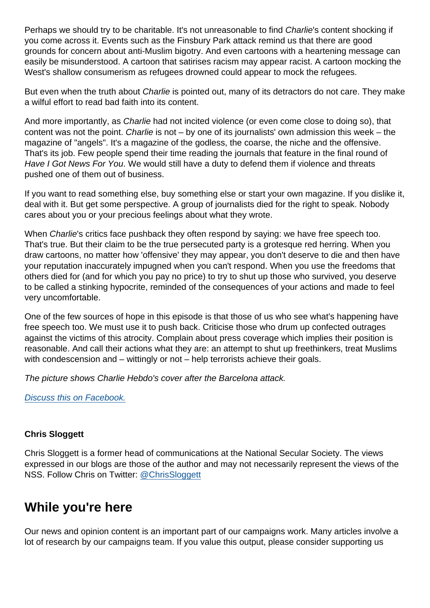Perhaps we should try to be charitable. It's not unreasonable to find Charlie's content shocking if you come across it. Events such as the Finsbury Park attack remind us that there are good grounds for concern about anti-Muslim bigotry. And even cartoons with a heartening message can easily be misunderstood. A cartoon that satirises racism may appear racist. A cartoon mocking the West's shallow consumerism as refugees drowned could appear to mock the refugees.

But even when the truth about Charlie is pointed out, many of its detractors do not care. They make a wilful effort to read bad faith into its content.

And more importantly, as Charlie had not incited violence (or even come close to doing so), that content was not the point. Charlie is not – by one of its journalists' own admission this week – the magazine of "angels". It's a magazine of the godless, the coarse, the niche and the offensive. That's its job. Few people spend their time reading the journals that feature in the final round of Have I Got News For You. We would still have a duty to defend them if violence and threats pushed one of them out of business.

If you want to read something else, buy something else or start your own magazine. If you dislike it, deal with it. But get some perspective. A group of journalists died for the right to speak. Nobody cares about you or your precious feelings about what they wrote.

When Charlie's critics face pushback they often respond by saying: we have free speech too. That's true. But their claim to be the true persecuted party is a grotesque red herring. When you draw cartoons, no matter how 'offensive' they may appear, you don't deserve to die and then have your reputation inaccurately impugned when you can't respond. When you use the freedoms that others died for (and for which you pay no price) to try to shut up those who survived, you deserve to be called a stinking hypocrite, reminded of the consequences of your actions and made to feel very uncomfortable.

One of the few sources of hope in this episode is that those of us who see what's happening have free speech too. We must use it to push back. Criticise those who drum up confected outrages against the victims of this atrocity. Complain about press coverage which implies their position is reasonable. And call their actions what they are: an attempt to shut up freethinkers, treat Muslims with condescension and – wittingly or not – help terrorists achieve their goals.

The picture shows Charlie Hebdo's cover after the Barcelona attack.

[Discuss this on Facebook.](https://www.facebook.com/NationalSecularSociety/posts/1604575452944133)

### Chris Sloggett

Chris Sloggett is a former head of communications at the National Secular Society. The views expressed in our blogs are those of the author and may not necessarily represent the views of the NSS. Follow Chris on Twitter: [@ChrisSloggett](https://twitter.com/ChrisSloggett)

### While you're here

Our news and opinion content is an important part of our campaigns work. Many articles involve a lot of research by our campaigns team. If you value this output, please consider supporting us